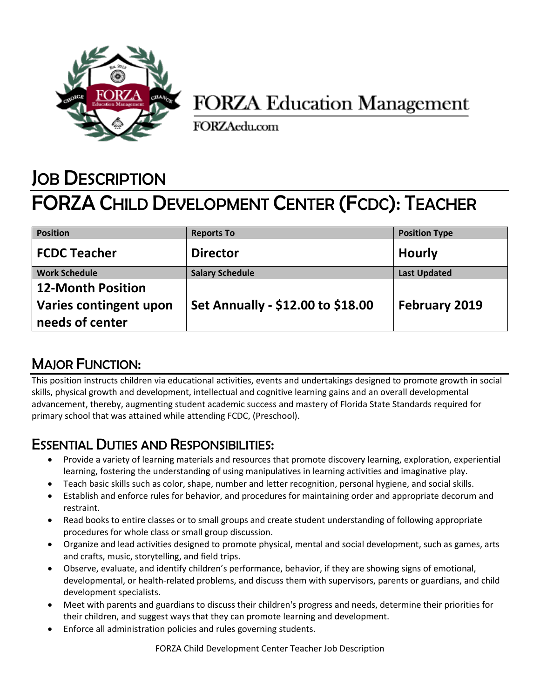

## **FORZA Education Management**

FORZAedu.com

# JOB DESCRIPTION FORZA CHILD DEVELOPMENT CENTER (FCDC): TEACHER

| <b>Position</b>                           | <b>Reports To</b>                 | <b>Position Type</b> |
|-------------------------------------------|-----------------------------------|----------------------|
| <b>FCDC Teacher</b>                       | <b>Director</b>                   | <b>Hourly</b>        |
| <b>Work Schedule</b>                      | <b>Salary Schedule</b>            | <b>Last Updated</b>  |
| <b>12-Month Position</b>                  |                                   |                      |
| Varies contingent upon<br>needs of center | Set Annually - \$12.00 to \$18.00 | <b>February 2019</b> |

### MAJOR FUNCTION:

This position instructs children via educational activities, events and undertakings designed to promote growth in social skills, physical growth and development, intellectual and cognitive learning gains and an overall developmental advancement, thereby, augmenting student academic success and mastery of Florida State Standards required for primary school that was attained while attending FCDC, (Preschool).

#### ESSENTIAL DUTIES AND RESPONSIBILITIES:

- Provide a variety of learning materials and resources that promote discovery learning, exploration, experiential learning, fostering the understanding of using manipulatives in learning activities and imaginative play.
- Teach basic skills such as color, shape, number and letter recognition, personal hygiene, and social skills.
- Establish and enforce rules for behavior, and procedures for maintaining order and appropriate decorum and restraint.
- Read books to entire classes or to small groups and create student understanding of following appropriate procedures for whole class or small group discussion.
- Organize and lead activities designed to promote physical, mental and social development, such as games, arts and crafts, music, storytelling, and field trips.
- Observe, evaluate, and identify children's performance, behavior, if they are showing signs of emotional, developmental, or health-related problems, and discuss them with supervisors, parents or guardians, and child development specialists.
- Meet with parents and guardians to discuss their children's progress and needs, determine their priorities for their children, and suggest ways that they can promote learning and development.
- Enforce all administration policies and rules governing students.